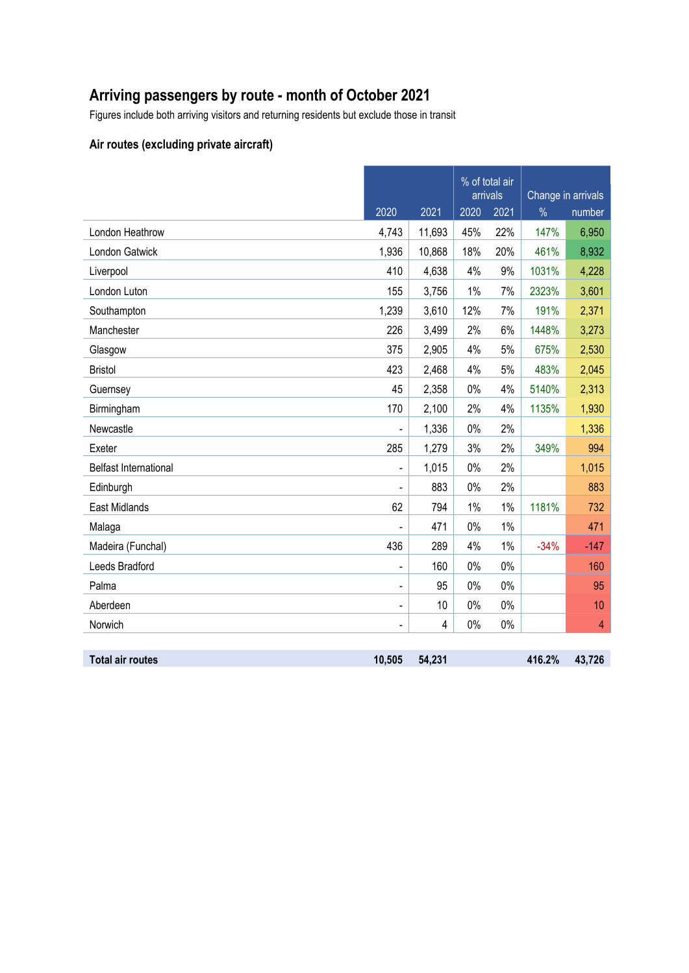# **Arriving passengers by route - month of October 2021**

Figures include both arriving visitors and returning residents but exclude those in transit

#### **Air routes (excluding private aircraft)**

|                              |                              |        | % of total air<br>arrivals |       |               | Change in arrivals |  |
|------------------------------|------------------------------|--------|----------------------------|-------|---------------|--------------------|--|
|                              | 2020                         | 2021   | 2020                       | 2021  | $\frac{0}{0}$ | number             |  |
| London Heathrow              | 4,743                        | 11,693 | 45%                        | 22%   | 147%          | 6,950              |  |
| London Gatwick               | 1,936                        | 10,868 | 18%                        | 20%   | 461%          | 8,932              |  |
| Liverpool                    | 410                          | 4,638  | 4%                         | 9%    | 1031%         | 4,228              |  |
| London Luton                 | 155                          | 3,756  | 1%                         | 7%    | 2323%         | 3,601              |  |
| Southampton                  | 1,239                        | 3,610  | 12%                        | 7%    | 191%          | 2,371              |  |
| Manchester                   | 226                          | 3,499  | 2%                         | 6%    | 1448%         | 3,273              |  |
| Glasgow                      | 375                          | 2,905  | 4%                         | 5%    | 675%          | 2,530              |  |
| <b>Bristol</b>               | 423                          | 2,468  | 4%                         | 5%    | 483%          | 2,045              |  |
| Guernsey                     | 45                           | 2,358  | 0%                         | 4%    | 5140%         | 2,313              |  |
| Birmingham                   | 170                          | 2,100  | 2%                         | 4%    | 1135%         | 1,930              |  |
| Newcastle                    | $\frac{1}{2}$                | 1,336  | 0%                         | 2%    |               | 1,336              |  |
| Exeter                       | 285                          | 1,279  | 3%                         | 2%    | 349%          | 994                |  |
| <b>Belfast International</b> | $\qquad \qquad \blacksquare$ | 1,015  | 0%                         | 2%    |               | 1,015              |  |
| Edinburgh                    |                              | 883    | 0%                         | 2%    |               | 883                |  |
| East Midlands                | 62                           | 794    | 1%                         | $1\%$ | 1181%         | 732                |  |
| Malaga                       |                              | 471    | 0%                         | $1\%$ |               | 471                |  |
| Madeira (Funchal)            | 436                          | 289    | 4%                         | $1\%$ | $-34%$        | $-147$             |  |
| Leeds Bradford               | $\overline{\phantom{a}}$     | 160    | $0\%$                      | $0\%$ |               | 160                |  |
| Palma                        | $\overline{\phantom{a}}$     | 95     | 0%                         | $0\%$ |               | 95                 |  |
| Aberdeen                     | $\overline{\phantom{a}}$     | 10     | 0%                         | $0\%$ |               | 10                 |  |
| Norwich                      | $\overline{\phantom{a}}$     | 4      | 0%                         | $0\%$ |               | $\overline{4}$     |  |
|                              |                              |        |                            |       |               |                    |  |
| <b>Total air routes</b>      | 10,505                       | 54,231 |                            |       | 416.2%        | 43,726             |  |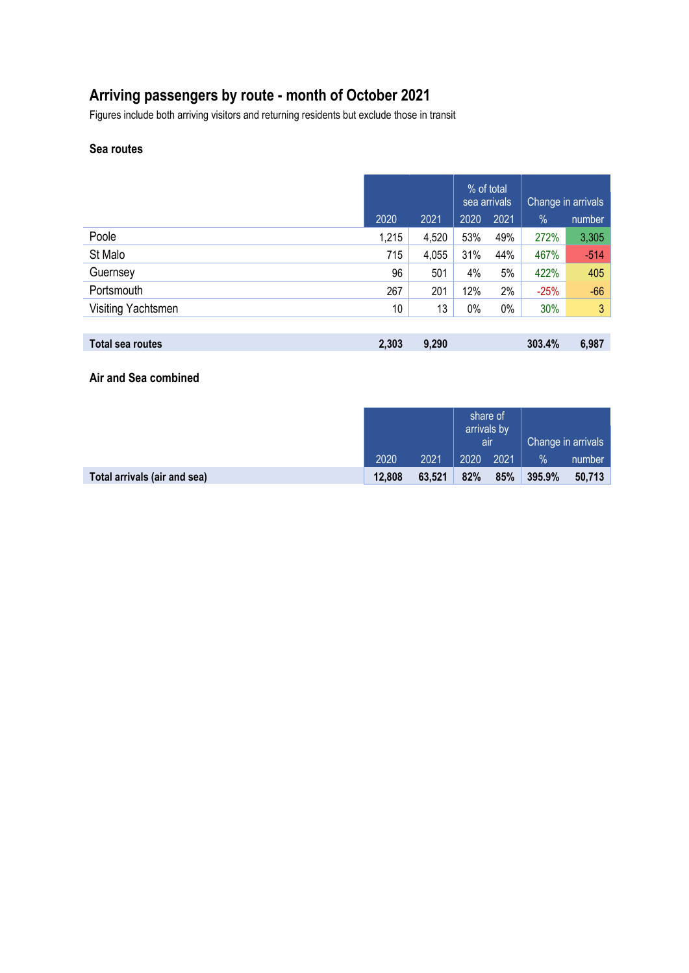# **Arriving passengers by route - month of October 2021**

Figures include both arriving visitors and returning residents but exclude those in transit

#### **Sea routes**

|                    |       |       | % of total<br>sea arrivals |       | Change in arrivals |                |
|--------------------|-------|-------|----------------------------|-------|--------------------|----------------|
|                    | 2020  | 2021  | 2020                       | 2021  | %                  | number         |
| Poole              | 1,215 | 4,520 | 53%                        | 49%   | 272%               | 3,305          |
| St Malo            | 715   | 4,055 | 31%                        | 44%   | 467%               | $-514$         |
| Guernsey           | 96    | 501   | 4%                         | 5%    | 422%               | 405            |
| Portsmouth         | 267   | 201   | 12%                        | 2%    | $-25%$             | $-66$          |
| Visiting Yachtsmen | 10    | 13    | 0%                         | $0\%$ | 30%                | 3 <sup>1</sup> |
|                    |       |       |                            |       |                    |                |
| Total sea routes   | 2,303 | 9,290 |                            |       | 303.4%             | 6,987          |

**Air and Sea combined**

|                              |        |        | share of<br>arrivals by<br>air |      | Change in arrivals |        |
|------------------------------|--------|--------|--------------------------------|------|--------------------|--------|
|                              | 2020   | 2021   | 2020                           | 2021 | %                  | number |
| Total arrivals (air and sea) | 12,808 | 63,521 | 82%                            | 85%  | 395.9%             | 50,713 |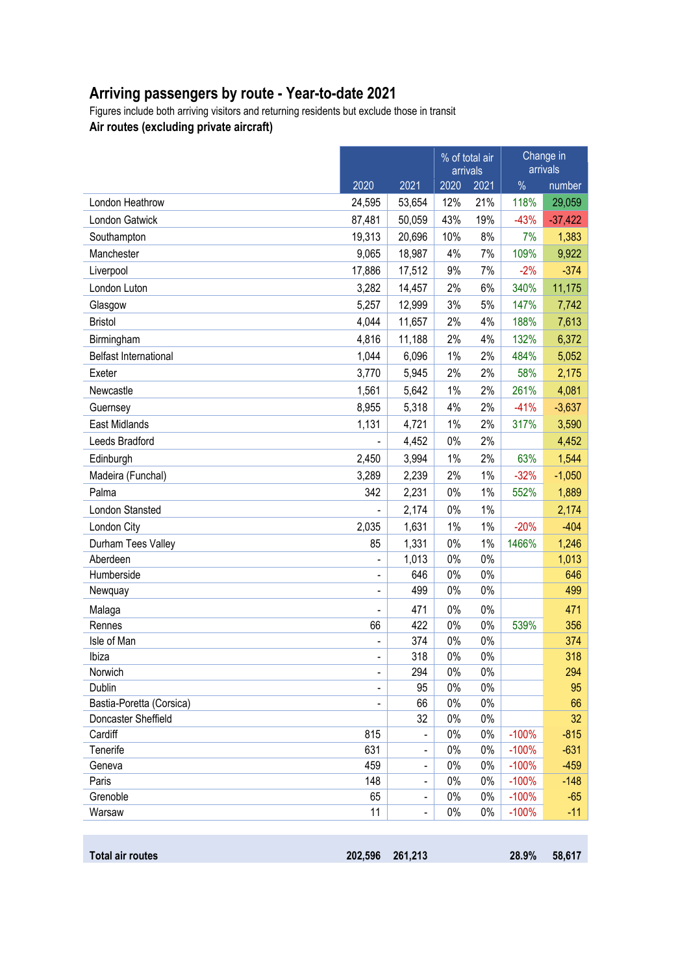# **Arriving passengers by route - Year-to-date 2021**

Figures include both arriving visitors and returning residents but exclude those in transit **Air routes (excluding private aircraft)**

|                              |                              |                                   |             | % of total air<br>arrivals | Change in<br>arrivals |                  |
|------------------------------|------------------------------|-----------------------------------|-------------|----------------------------|-----------------------|------------------|
|                              | 2020                         | 2021                              | 2020        | 2021                       | $\frac{0}{0}$         | number           |
| London Heathrow              | 24,595                       | 53,654                            | 12%         | 21%                        | 118%                  | 29,059           |
| London Gatwick               | 87,481                       | 50,059                            | 43%         | 19%                        | $-43%$                | $-37,422$        |
| Southampton                  | 19,313                       | 20,696                            | 10%         | 8%                         | 7%                    | 1,383            |
| Manchester                   | 9,065                        | 18,987                            | 4%          | 7%                         | 109%                  | 9,922            |
| Liverpool                    | 17,886                       | 17,512                            | 9%          | 7%                         | $-2%$                 | $-374$           |
| London Luton                 | 3,282                        | 14,457                            | 2%          | 6%                         | 340%                  | 11,175           |
| Glasgow                      | 5,257                        | 12,999                            | 3%          | 5%                         | 147%                  | 7,742            |
| <b>Bristol</b>               | 4,044                        | 11,657                            | 2%          | 4%                         | 188%                  | 7,613            |
| Birmingham                   | 4,816                        | 11,188                            | 2%          | 4%                         | 132%                  | 6,372            |
| <b>Belfast International</b> | 1,044                        | 6,096                             | 1%          | 2%                         | 484%                  | 5,052            |
| Exeter                       | 3,770                        | 5,945                             | 2%          | 2%                         | 58%                   | 2,175            |
| Newcastle                    | 1,561                        | 5,642                             | 1%          | 2%                         | 261%                  | 4,081            |
| Guernsey                     | 8,955                        | 5,318                             | 4%          | 2%                         | $-41%$                | $-3,637$         |
| East Midlands                | 1,131                        | 4,721                             | 1%          | 2%                         | 317%                  | 3,590            |
| Leeds Bradford               |                              | 4,452                             | $0\%$       | 2%                         |                       | 4,452            |
| Edinburgh                    | 2,450                        | 3,994                             | 1%          | 2%                         | 63%                   | 1,544            |
| Madeira (Funchal)            | 3,289                        | 2,239                             | 2%          | $1\%$                      | $-32%$                | $-1,050$         |
| Palma                        | 342                          | 2,231                             | 0%          | 1%                         | 552%                  | 1,889            |
| London Stansted              |                              | 2,174                             | 0%          | $1\%$                      |                       | 2,174            |
| London City                  | 2,035                        | 1,631                             | 1%          | $1\%$                      | $-20%$                | $-404$           |
| Durham Tees Valley           | 85                           | 1,331                             | 0%          | $1\%$                      | 1466%                 | 1,246            |
| Aberdeen                     | $\qquad \qquad \blacksquare$ | 1,013                             | 0%          | $0\%$                      |                       | 1,013            |
| Humberside                   | $\blacksquare$               | 646                               | 0%          | $0\%$                      |                       | 646              |
| Newquay                      | $\overline{\phantom{a}}$     | 499                               | 0%          | $0\%$                      |                       | 499              |
| Malaga                       | $\qquad \qquad \blacksquare$ | 471                               | 0%          | $0\%$                      |                       | 471              |
| Rennes                       | 66                           | 422                               | 0%          | $0\%$                      | 539%                  | 356              |
| Isle of Man                  | $\overline{\phantom{0}}$     | 374                               | 0%          | $0\%$                      |                       | 374              |
| Ibiza                        | $\overline{\phantom{a}}$     | 318                               | 0%          | $0\%$                      |                       | 318              |
| Norwich                      | $\qquad \qquad \blacksquare$ | 294                               | 0%          | $0\%$                      |                       | 294              |
| Dublin                       | $\blacksquare$               | 95                                | 0%          | $0\%$                      |                       | 95               |
| Bastia-Poretta (Corsica)     |                              | 66                                | 0%          | $0\%$                      |                       | 66               |
| Doncaster Sheffield          |                              | 32                                | $0\%$       | $0\%$                      |                       | 32               |
| Cardiff<br>Tenerife          | 815<br>631                   |                                   | 0%<br>$0\%$ | $0\%$<br>$0\%$             | $-100%$<br>$-100%$    | $-815$<br>$-631$ |
| Geneva                       | 459                          | $\qquad \qquad \blacksquare$<br>- | 0%          | $0\%$                      | $-100%$               | $-459$           |
| Paris                        | 148                          |                                   | $0\%$       | $0\%$                      | $-100%$               | $-148$           |
| Grenoble                     | 65                           | $\blacksquare$                    | 0%          | $0\%$                      | $-100%$               | $-65$            |
| Warsaw                       | 11                           |                                   | $0\%$       | $0\%$                      | $-100%$               | $-11$            |
|                              |                              |                                   |             |                            |                       |                  |

| Total air routes | 202,596 261,213 | 28.9% | 58,617 |
|------------------|-----------------|-------|--------|
|                  |                 |       |        |